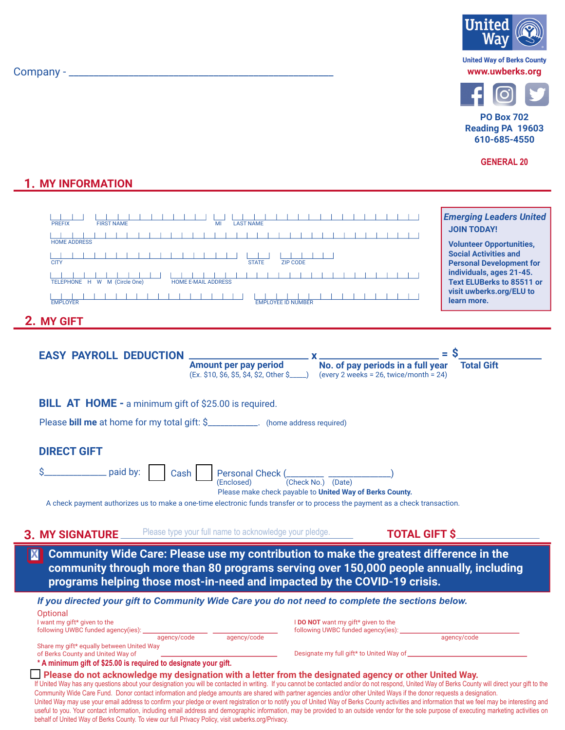| Company - |  |
|-----------|--|





**PO Box 702** Reading PA 19603 610-685-4550

**GENERAL 20** 

## **1. MY INFORMATION**

| <b>FIRST NAME</b><br><b>PREFIX</b><br><b>TERMS IN THE REAL PROPERTY</b><br><b>HOME ADDRESS</b><br><b>STATE</b><br><b>CITY</b><br><b>HOME E-MAIL ADDRESS</b><br>TELEPHONE H W M (Circle One)<br>.<br>EMPLOYER<br><b>MY GIFT</b>                                                                               | <b>Emerging Leaders United</b><br><b>JOIN TODAY!</b><br><b>Volunteer Opportunities,</b><br><b>Social Activities and</b><br><b>ZIP CODE</b><br><b>Personal Development for</b><br>individuals, ages 21-45.<br>- 1<br><b>Text ELUBerks to 85511 or</b><br>visit uwberks.org/ELU to<br>learn more.<br><b>EMPLOYEE ID NUMBER</b> |  |  |
|--------------------------------------------------------------------------------------------------------------------------------------------------------------------------------------------------------------------------------------------------------------------------------------------------------------|------------------------------------------------------------------------------------------------------------------------------------------------------------------------------------------------------------------------------------------------------------------------------------------------------------------------------|--|--|
| <b>EASY PAYROLL DEDUCTION</b><br>Amount per pay period<br>$(Ex. \$10, \$6, \$5, \$4, \$2, Other \$________ )$                                                                                                                                                                                                | No. of pay periods in a full year<br><b>Total Gift</b><br>(every 2 weeks = $26$ , twice/month = $24$ )                                                                                                                                                                                                                       |  |  |
| <b>BILL AT HOME - a minimum gift of \$25.00 is required.</b>                                                                                                                                                                                                                                                 |                                                                                                                                                                                                                                                                                                                              |  |  |
| Please <b>bill me</b> at home for my total gift: \$____________. (home address required)                                                                                                                                                                                                                     |                                                                                                                                                                                                                                                                                                                              |  |  |
| <b>DIRECT GIFT</b>                                                                                                                                                                                                                                                                                           |                                                                                                                                                                                                                                                                                                                              |  |  |
| Personal Check (________ __<br>paid by:<br>Cash<br>(Check No.) (Date)<br>(Enclosed)<br>Please make check payable to United Way of Berks County.<br>A check payment authorizes us to make a one-time electronic funds transfer or to process the payment as a check transaction.                              |                                                                                                                                                                                                                                                                                                                              |  |  |
| Please type your full name to acknowledge your pledge.<br><b>MY SIGNATURE</b>                                                                                                                                                                                                                                | <b>TOTAL GIFT \$</b>                                                                                                                                                                                                                                                                                                         |  |  |
| $ \mathbf{X} $<br>programs helping those most-in-need and impacted by the COVID-19 crisis.                                                                                                                                                                                                                   | Community Wide Care: Please use my contribution to make the greatest difference in the<br>community through more than 80 programs serving over 150,000 people annually, including                                                                                                                                            |  |  |
| If you directed your gift to Community Wide Care you do not need to complete the sections below.<br>Optional<br>I want my gift* given to the<br>following UWBC funded agency(ies):<br>agency/code<br>agency/code                                                                                             | I DO NOT want my gift* given to the<br>following UWBC funded agency(ies):<br>agency/code                                                                                                                                                                                                                                     |  |  |
| Share my gift* equally between United Way<br>of Berks County and United Way of<br>* A minimum gift of \$25.00 is required to designate your gift.                                                                                                                                                            | Designate my full gift* to United Way of _____                                                                                                                                                                                                                                                                               |  |  |
| Please do not acknowledge my designation with a letter from the designated agency or other United Way.<br>If United Way has any questions about your designation you will be contacted in writing. If you cannot be contacted and/or do not respond, United Way of Berks County will direct your gift to the |                                                                                                                                                                                                                                                                                                                              |  |  |

Community Wide Care Fund. Donor contact information and pledge amounts are shared with partner agencies and/or other United Ways if the donor requests a designation. United Way may use your email address to confirm your pledge or event registration or to notify you of United Way of Berks County activities and information that we feel may be interesting and useful to you. Your contact information, including email address and demographic information, may be provided to an outside vendor for the sole purpose of executing marketing activities on behalf of United Way of Berks County. To view our full Privacy Policy, visit uwberks.org/Privacy.